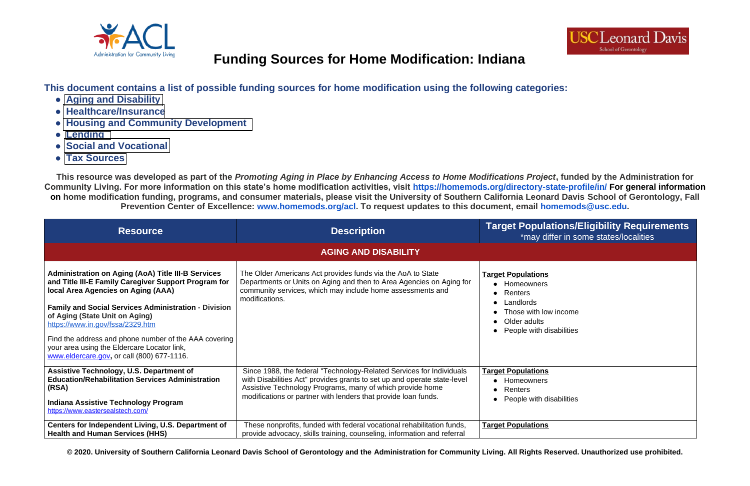

**Resource Eligibility Requirements** ffer in some states/localities w income isabilities isabilities



# **Funding Sources for Home Modification: Indiana**

**This document contains a list of possible funding sources for home modification using the following categories:** 

- **Aging and Disability**
- **[Healthcare/Insurance](#page-1-0)**
- **[Housing and Community Development](#page-2-0)**
- **[Lending](#page-4-0)**
- **[Social and Vocational](#page-7-0)**
- **[Tax Sources](#page-8-0)**

**This resource was developed as part of the** *Promoting Aging in Place by Enhancing Access to Home Modifications Project***, funded by the Administration for Community Living. For more information on this state's home modification activities, visit<https://homemods.org/directory-state-profile/in/> For general information on home modification funding, programs, and consumer materials, please visit the University of Southern California Leonard Davis School of Gerontology, Fall Prevention Center of Excellence: [www.homemods.org/acl.](https://urldefense.com/v3/__http:/www.homemods.org/acl__;!!LIr3w8kk_Xxm!5XQi1sIEUzSAiTLzEW-AZfdf8uoM6UJ7Gi184FDh21uifJ2q76ba87tz8ZR_$) To request updates to this document, email homemods@usc.edu.**

| <b>Resource</b>                                                                                                                                                                                                                                                                                                                                                                                                                                    | <b>Description</b>                                                                                                                                                                                                                                                              | <b>Target Popula</b><br>*may dif                                                                                                              |
|----------------------------------------------------------------------------------------------------------------------------------------------------------------------------------------------------------------------------------------------------------------------------------------------------------------------------------------------------------------------------------------------------------------------------------------------------|---------------------------------------------------------------------------------------------------------------------------------------------------------------------------------------------------------------------------------------------------------------------------------|-----------------------------------------------------------------------------------------------------------------------------------------------|
|                                                                                                                                                                                                                                                                                                                                                                                                                                                    | <b>AGING AND DISABILITY</b>                                                                                                                                                                                                                                                     |                                                                                                                                               |
| <b>Administration on Aging (AoA) Title III-B Services</b><br>and Title III-E Family Caregiver Support Program for<br>local Area Agencies on Aging (AAA)<br><b>Family and Social Services Administration - Division</b><br>of Aging (State Unit on Aging)<br>https://www.in.gov/fssa/2329.htm<br>Find the address and phone number of the AAA covering<br>your area using the Eldercare Locator link,<br>www.eldercare.gov, or call (800) 677-1116. | The Older Americans Act provides funds via the AoA to State<br>Departments or Units on Aging and then to Area Agencies on Aging for<br>community services, which may include home assessments and<br>modifications.                                                             | <b>Target Populations</b><br>Homeowners<br>$\bullet$<br>Renters<br>Landlords<br>$\bullet$<br>Those with lov<br>Older adults<br>People with di |
| <b>Assistive Technology, U.S. Department of</b><br><b>Education/Rehabilitation Services Administration</b><br>(RSA)<br><b>Indiana Assistive Technology Program</b><br>https://www.eastersealstech.com/                                                                                                                                                                                                                                             | Since 1988, the federal "Technology-Related Services for Individuals<br>with Disabilities Act" provides grants to set up and operate state-level<br>Assistive Technology Programs, many of which provide home<br>modifications or partner with lenders that provide loan funds. | <b>Target Populations</b><br>Homeowners<br>Renters<br>$\bullet$<br>People with dis<br>$\bullet$                                               |
| Centers for Independent Living, U.S. Department of<br><b>Health and Human Services (HHS)</b>                                                                                                                                                                                                                                                                                                                                                       | These nonprofits, funded with federal vocational rehabilitation funds,<br>provide advocacy, skills training, counseling, information and referral                                                                                                                               | <b>Target Populations</b>                                                                                                                     |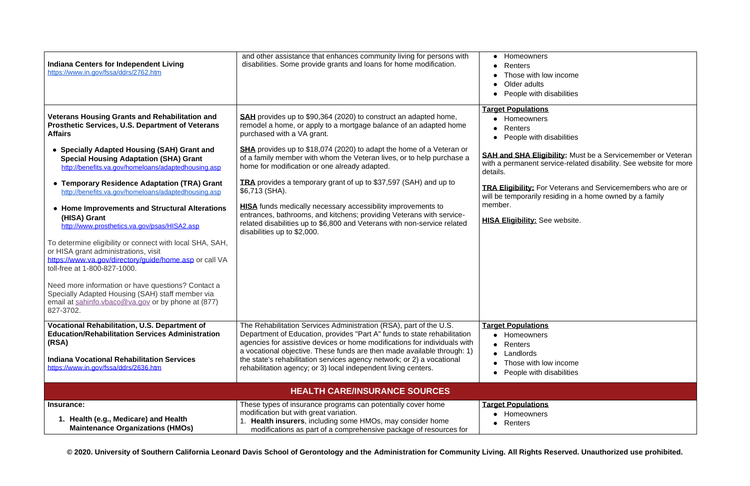w income

lisabilities

lisabilities

<span id="page-1-0"></span>

| <b>Indiana Centers for Independent Living</b><br>https://www.in.gov/fssa/ddrs/2762.htm                                                                                                                                 | and other assistance that enhances community living for persons with<br>disabilities. Some provide grants and loans for home modification.                                                                                                                                                                                                                                                                                                         | Homeowners<br>$\bullet$<br><b>Renters</b><br>Those with lov<br>Older adults<br>People with di                    |
|------------------------------------------------------------------------------------------------------------------------------------------------------------------------------------------------------------------------|----------------------------------------------------------------------------------------------------------------------------------------------------------------------------------------------------------------------------------------------------------------------------------------------------------------------------------------------------------------------------------------------------------------------------------------------------|------------------------------------------------------------------------------------------------------------------|
| <b>Veterans Housing Grants and Rehabilitation and</b><br><b>Prosthetic Services, U.S. Department of Veterans</b><br><b>Affairs</b>                                                                                     | <b>SAH</b> provides up to \$90,364 (2020) to construct an adapted home,<br>remodel a home, or apply to a mortgage balance of an adapted home<br>purchased with a VA grant.                                                                                                                                                                                                                                                                         | <b>Target Populations</b><br>Homeowners<br>Renters<br>People with di                                             |
| • Specially Adapted Housing (SAH) Grant and<br><b>Special Housing Adaptation (SHA) Grant</b><br>http://benefits.va.gov/homeloans/adaptedhousing.asp                                                                    | <b>SHA</b> provides up to \$18,074 (2020) to adapt the home of a Veteran or<br>of a family member with whom the Veteran lives, or to help purchase a<br>home for modification or one already adapted.                                                                                                                                                                                                                                              | <b>SAH and SHA Eligil</b><br>with a permanent sei<br>details.                                                    |
| • Temporary Residence Adaptation (TRA) Grant<br>http://benefits.va.gov/homeloans/adaptedhousing.asp                                                                                                                    | <b>TRA</b> provides a temporary grant of up to \$37,597 (SAH) and up to<br>\$6,713 (SHA).                                                                                                                                                                                                                                                                                                                                                          | <b>TRA Eligibility: For</b><br>will be temporarily re                                                            |
| <b>Home Improvements and Structural Alterations</b><br>(HISA) Grant<br>http://www.prosthetics.va.gov/psas/HISA2.asp                                                                                                    | <b>HISA</b> funds medically necessary accessibility improvements to<br>entrances, bathrooms, and kitchens; providing Veterans with service-<br>related disabilities up to \$6,800 and Veterans with non-service related<br>disabilities up to \$2,000.                                                                                                                                                                                             | member.<br><b>HISA Eligibility: See</b>                                                                          |
| To determine eligibility or connect with local SHA, SAH,<br>or HISA grant administrations, visit<br>https://www.va.gov/directory/guide/home.asp or call VA<br>toll-free at 1-800-827-1000.                             |                                                                                                                                                                                                                                                                                                                                                                                                                                                    |                                                                                                                  |
| Need more information or have questions? Contact a<br>Specially Adapted Housing (SAH) staff member via<br>email at sahinfo.vbaco@va.gov or by phone at (877)<br>827-3702.                                              |                                                                                                                                                                                                                                                                                                                                                                                                                                                    |                                                                                                                  |
| <b>Vocational Rehabilitation, U.S. Department of</b><br><b>Education/Rehabilitation Services Administration</b><br>(RSA)<br><b>Indiana Vocational Rehabilitation Services</b><br>https://www.in.gov/fssa/ddrs/2636.htm | The Rehabilitation Services Administration (RSA), part of the U.S.<br>Department of Education, provides "Part A" funds to state rehabilitation<br>agencies for assistive devices or home modifications for individuals with<br>a vocational objective. These funds are then made available through: 1)<br>the state's rehabilitation services agency network; or 2) a vocational<br>rehabilitation agency; or 3) local independent living centers. | <b>Target Populations</b><br>Homeowners<br>Renters<br>$\bullet$<br>Landlords<br>Those with lov<br>People with di |
|                                                                                                                                                                                                                        | <b>HEALTH CARE/INSURANCE SOURCES</b>                                                                                                                                                                                                                                                                                                                                                                                                               |                                                                                                                  |
| Insurance:<br>1. Health (e.g., Medicare) and Health<br><b>Maintenance Organizations (HMOs)</b>                                                                                                                         | These types of insurance programs can potentially cover home<br>modification but with great variation.<br>Health insurers, including some HMOs, may consider home<br>modifications as part of a comprehensive package of resources for                                                                                                                                                                                                             | <b>Target Populations</b><br>• Homeowners<br>Renters                                                             |

**SAH and SHA Eligibility:** Must be a Servicemember or Veteran with a permanent service-related disability. See website for more

> Veterans and Servicemembers who are or esiding in a home owned by a family

**e** website.

w income lisabilities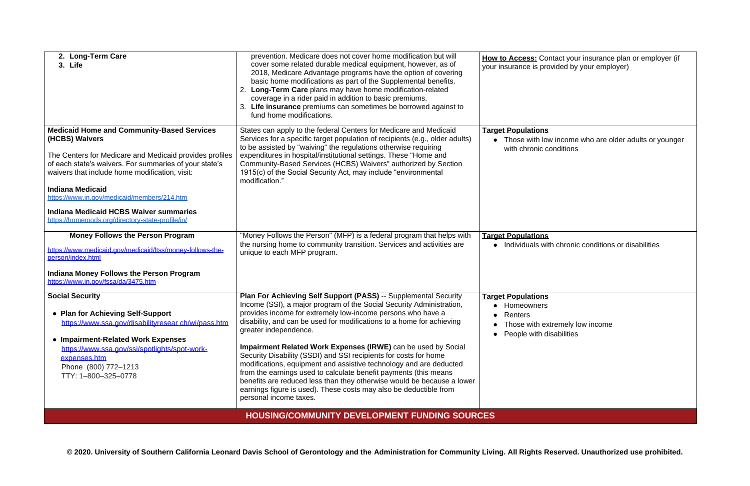**How to Access:** Contact your insurance plan or employer (if your insurance is provided by your employer)

> w income who are older adults or younger onditions

th chronic conditions or disabilities

tremely low income isabilities

<span id="page-2-0"></span>

| 2. Long-Term Care<br>3. Life                                                                                                                                                                                                                                                                                                                                                                                              | prevention. Medicare does not cover home modification but will<br>cover some related durable medical equipment, however, as of<br>2018, Medicare Advantage programs have the option of covering<br>basic home modifications as part of the Supplemental benefits.<br>2. Long-Term Care plans may have home modification-related<br>coverage in a rider paid in addition to basic premiums.<br>3. Life insurance premiums can sometimes be borrowed against to<br>fund home modifications.                                                                                                                                                                                                                                                                        | <b>How to Access: Cor</b><br>your insurance is pro                                      |
|---------------------------------------------------------------------------------------------------------------------------------------------------------------------------------------------------------------------------------------------------------------------------------------------------------------------------------------------------------------------------------------------------------------------------|------------------------------------------------------------------------------------------------------------------------------------------------------------------------------------------------------------------------------------------------------------------------------------------------------------------------------------------------------------------------------------------------------------------------------------------------------------------------------------------------------------------------------------------------------------------------------------------------------------------------------------------------------------------------------------------------------------------------------------------------------------------|-----------------------------------------------------------------------------------------|
| <b>Medicaid Home and Community-Based Services</b><br>(HCBS) Waivers<br>The Centers for Medicare and Medicaid provides profiles<br>of each state's waivers. For summaries of your state's<br>waivers that include home modification, visit:<br><b>Indiana Medicaid</b><br>https://www.in.gov/medicaid/members/214.htm<br><b>Indiana Medicaid HCBS Waiver summaries</b><br>https://homemods.org/directory-state-profile/in/ | States can apply to the federal Centers for Medicare and Medicaid<br>Services for a specific target population of recipients (e.g., older adults)<br>to be assisted by "waiving" the regulations otherwise requiring<br>expenditures in hospital/institutional settings. These "Home and<br>Community-Based Services (HCBS) Waivers" authorized by Section<br>1915(c) of the Social Security Act, may include "environmental<br>modification."                                                                                                                                                                                                                                                                                                                   | <b>Target Populations</b><br>Those with low<br>with chronic co                          |
| <b>Money Follows the Person Program</b><br>https://www.medicaid.gov/medicaid/ltss/money-follows-the-<br>person/index.html<br><b>Indiana Money Follows the Person Program</b><br>https://www.in.gov/fssa/da/3475.htm                                                                                                                                                                                                       | "Money Follows the Person" (MFP) is a federal program that helps with<br>the nursing home to community transition. Services and activities are<br>unique to each MFP program.                                                                                                                                                                                                                                                                                                                                                                                                                                                                                                                                                                                    | <b>Target Populations</b><br>Individuals witl                                           |
| <b>Social Security</b><br>• Plan for Achieving Self-Support<br>https://www.ssa.gov/disabilityresear ch/wi/pass.htm<br>• Impairment-Related Work Expenses<br>https://www.ssa.gov/ssi/spotlights/spot-work-<br>expenses.htm<br>Phone (800) 772-1213<br>TTY: 1-800-325-0778                                                                                                                                                  | Plan For Achieving Self Support (PASS) -- Supplemental Security<br>Income (SSI), a major program of the Social Security Administration,<br>provides income for extremely low-income persons who have a<br>disability, and can be used for modifications to a home for achieving<br>greater independence.<br>Impairment Related Work Expenses (IRWE) can be used by Social<br>Security Disability (SSDI) and SSI recipients for costs for home<br>modifications, equipment and assistive technology and are deducted<br>from the earnings used to calculate benefit payments (this means<br>benefits are reduced less than they otherwise would be because a lower<br>earnings figure is used). These costs may also be deductible from<br>personal income taxes. | <b>Target Populations</b><br>Homeowners<br>Renters<br>Those with ext<br>People with dis |
|                                                                                                                                                                                                                                                                                                                                                                                                                           | <b>HOUSING/COMMUNITY DEVELOPMENT FUNDING SOURCES</b>                                                                                                                                                                                                                                                                                                                                                                                                                                                                                                                                                                                                                                                                                                             |                                                                                         |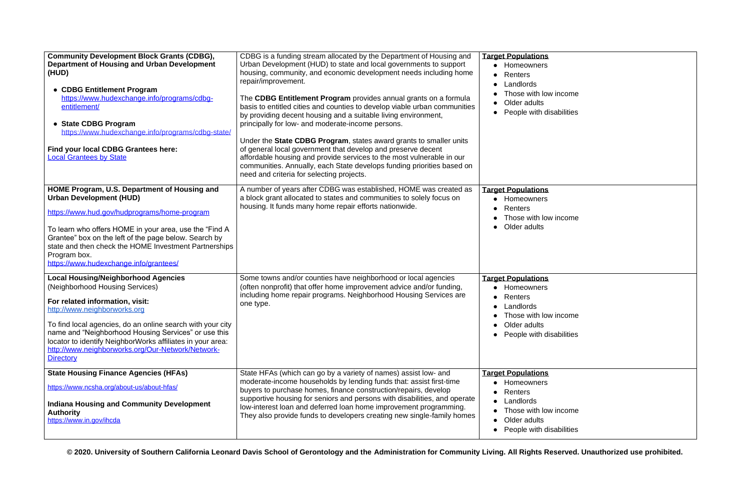w income lisabilities w income w income lisabilities w income lisabilities

| <b>Community Development Block Grants (CDBG),</b><br><b>Department of Housing and Urban Development</b><br>(HUD)<br>• CDBG Entitlement Program<br>https://www.hudexchange.info/programs/cdbg-<br>entitlement/<br>• State CDBG Program<br>https://www.hudexchange.info/programs/cdbg-state/<br>Find your local CDBG Grantees here:<br><b>Local Grantees by State</b>                                           | CDBG is a funding stream allocated by the Department of Housing and<br>Urban Development (HUD) to state and local governments to support<br>housing, community, and economic development needs including home<br>repair/improvement.<br>The CDBG Entitlement Program provides annual grants on a formula<br>basis to entitled cities and counties to develop viable urban communities<br>by providing decent housing and a suitable living environment,<br>principally for low- and moderate-income persons.<br>Under the State CDBG Program, states award grants to smaller units<br>of general local government that develop and preserve decent<br>affordable housing and provide services to the most vulnerable in our<br>communities. Annually, each State develops funding priorities based on<br>need and criteria for selecting projects. | <b>Target Populations</b><br>Homeowners<br>Renters<br>Landlords<br>Those with lov<br>Older adults<br>People with di   |
|---------------------------------------------------------------------------------------------------------------------------------------------------------------------------------------------------------------------------------------------------------------------------------------------------------------------------------------------------------------------------------------------------------------|----------------------------------------------------------------------------------------------------------------------------------------------------------------------------------------------------------------------------------------------------------------------------------------------------------------------------------------------------------------------------------------------------------------------------------------------------------------------------------------------------------------------------------------------------------------------------------------------------------------------------------------------------------------------------------------------------------------------------------------------------------------------------------------------------------------------------------------------------|-----------------------------------------------------------------------------------------------------------------------|
| HOME Program, U.S. Department of Housing and<br><b>Urban Development (HUD)</b><br>https://www.hud.gov/hudprograms/home-program<br>To learn who offers HOME in your area, use the "Find A<br>Grantee" box on the left of the page below. Search by<br>state and then check the HOME Investment Partnerships<br>Program box.<br>https://www.hudexchange.info/grantees/                                          | A number of years after CDBG was established, HOME was created as<br>a block grant allocated to states and communities to solely focus on<br>housing. It funds many home repair efforts nationwide.                                                                                                                                                                                                                                                                                                                                                                                                                                                                                                                                                                                                                                                | <b>Target Populations</b><br>Homeowners<br>Renters<br>Those with lov<br>Older adults                                  |
| <b>Local Housing/Neighborhood Agencies</b><br>(Neighborhood Housing Services)<br>For related information, visit:<br>http://www.neighborworks.org<br>To find local agencies, do an online search with your city<br>name and "Neighborhood Housing Services" or use this<br>locator to identify NeighborWorks affiliates in your area:<br>http://www.neighborworks.org/Our-Network/Network-<br><b>Directory</b> | Some towns and/or counties have neighborhood or local agencies<br>(often nonprofit) that offer home improvement advice and/or funding,<br>including home repair programs. Neighborhood Housing Services are<br>one type.                                                                                                                                                                                                                                                                                                                                                                                                                                                                                                                                                                                                                           | <b>Target Populations</b><br>• Homeowners<br>Renters<br>Landlords<br>Those with lov<br>Older adults<br>People with di |
| <b>State Housing Finance Agencies (HFAs)</b><br>https://www.ncsha.org/about-us/about-hfas/<br><b>Indiana Housing and Community Development</b><br><b>Authority</b><br>https://www.in.gov/ihcda                                                                                                                                                                                                                | State HFAs (which can go by a variety of names) assist low- and<br>moderate-income households by lending funds that: assist first-time<br>buyers to purchase homes, finance construction/repairs, develop<br>supportive housing for seniors and persons with disabilities, and operate<br>low-interest loan and deferred loan home improvement programming.<br>They also provide funds to developers creating new single-family homes                                                                                                                                                                                                                                                                                                                                                                                                              | <b>Target Populations</b><br>Homeowners<br>Renters<br>Landlords<br>Those with lov<br>Older adults<br>People with di   |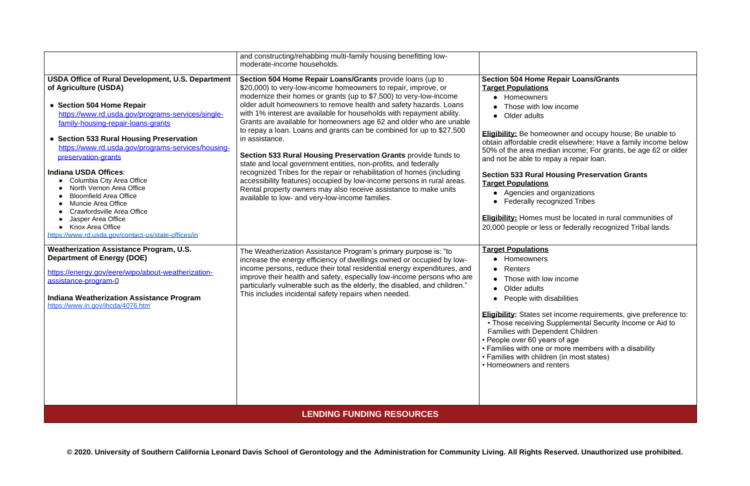# **Repair Loans/Grants**

 $\nu$  income

owner and occupy house; Be unable to dit elsewhere; Have a family income below lian income; For grants, be age 62 or older pay a repair loan.

### **Rousing Preservation Grants**

organizations ognized Tribes

**Eligibility:** Homes in rural communities of 3 or federally recognized Tribal lands.

income with low

sabilities

**Eliagibility:** *Elincome* requirements, give preference to: iupplemental Security Income or Aid to ndent Children rs of age r more members with a disability en (in most states) enters

<span id="page-4-0"></span>

|                                                                                                                                                                                                                                                                                                                                                                                                                                                                                                                                                                                                                                                                       | and constructing/rehabbing multi-family housing benefitting low-<br>moderate-income households.                                                                                                                                                                                                                                                                                                                                                                                                                                                                                                                                                                                                                                                                                                                                                                                                                                  |                                                                                                                                                                                                                                                                                                                                                                                                         |
|-----------------------------------------------------------------------------------------------------------------------------------------------------------------------------------------------------------------------------------------------------------------------------------------------------------------------------------------------------------------------------------------------------------------------------------------------------------------------------------------------------------------------------------------------------------------------------------------------------------------------------------------------------------------------|----------------------------------------------------------------------------------------------------------------------------------------------------------------------------------------------------------------------------------------------------------------------------------------------------------------------------------------------------------------------------------------------------------------------------------------------------------------------------------------------------------------------------------------------------------------------------------------------------------------------------------------------------------------------------------------------------------------------------------------------------------------------------------------------------------------------------------------------------------------------------------------------------------------------------------|---------------------------------------------------------------------------------------------------------------------------------------------------------------------------------------------------------------------------------------------------------------------------------------------------------------------------------------------------------------------------------------------------------|
| <b>USDA Office of Rural Development, U.S. Department</b><br>of Agriculture (USDA)<br>• Section 504 Home Repair<br>https://www.rd.usda.gov/programs-services/single-<br>family-housing-repair-loans-grants<br>• Section 533 Rural Housing Preservation<br>https://www.rd.usda.gov/programs-services/housing-<br>preservation-grants<br>Indiana USDA Offices:<br>Columbia City Area Office<br>$\bullet$<br>North Vernon Area Office<br><b>Bloomfield Area Office</b><br>Muncie Area Office<br>$\bullet$<br>Crawfordsville Area Office<br>Jasper Area Office<br>$\bullet$<br><b>Knox Area Office</b><br>$\bullet$<br>https://www.rd.usda.gov/contact-us/state-offices/in | Section 504 Home Repair Loans/Grants provide loans (up to<br>\$20,000) to very-low-income homeowners to repair, improve, or<br>modernize their homes or grants (up to \$7,500) to very-low-income<br>older adult homeowners to remove health and safety hazards. Loans<br>with 1% interest are available for households with repayment ability.<br>Grants are available for homeowners age 62 and older who are unable<br>to repay a loan. Loans and grants can be combined for up to \$27,500<br>in assistance.<br>Section 533 Rural Housing Preservation Grants provide funds to<br>state and local government entities, non-profits, and federally<br>recognized Tribes for the repair or rehabilitation of homes (including<br>accessibility features) occupied by low-income persons in rural areas.<br>Rental property owners may also receive assistance to make units<br>available to low- and very-low-income families. | <b>Section 504 Home R</b><br><b>Target Populations</b><br><b>Homeowners</b><br>$\bullet$<br>Those with low<br>Older adults<br>$\bullet$<br>Eligibility: Be homed<br>obtain affordable cred<br>50% of the area medi<br>and not be able to rep<br><b>Section 533 Rural H</b><br><b>Target Populations</b><br>Agencies and<br>$\bullet$<br>Federally reco<br>Eligibility: Homes m<br>20,000 people or less |
| <b>Weatherization Assistance Program, U.S.</b><br><b>Department of Energy (DOE)</b><br>https://energy.gov/eere/wipo/about-weatherization-<br>assistance-program-0<br><b>Indiana Weatherization Assistance Program</b><br>https://www.in.gov/ihcda/4076.htm                                                                                                                                                                                                                                                                                                                                                                                                            | The Weatherization Assistance Program's primary purpose is: "to<br>increase the energy efficiency of dwellings owned or occupied by low-<br>income persons, reduce their total residential energy expenditures, and<br>improve their health and safety, especially low-income persons who are<br>particularly vulnerable such as the elderly, the disabled, and children."<br>This includes incidental safety repairs when needed.                                                                                                                                                                                                                                                                                                                                                                                                                                                                                               | <b>Target Populations</b><br><b>Homeowners</b><br>Renters<br>$\bullet$<br>Those with low<br>Older adults<br>$\bullet$<br>People with dis<br>$\bullet$<br><b>Eligibility: States set</b><br>• Those receiving S<br><b>Families with Deper</b><br>• People over 60 year<br>• Families with one or<br>• Families with childre<br>• Homeowners and re                                                       |
|                                                                                                                                                                                                                                                                                                                                                                                                                                                                                                                                                                                                                                                                       | <b>LENDING FUNDING RESOURCES</b>                                                                                                                                                                                                                                                                                                                                                                                                                                                                                                                                                                                                                                                                                                                                                                                                                                                                                                 |                                                                                                                                                                                                                                                                                                                                                                                                         |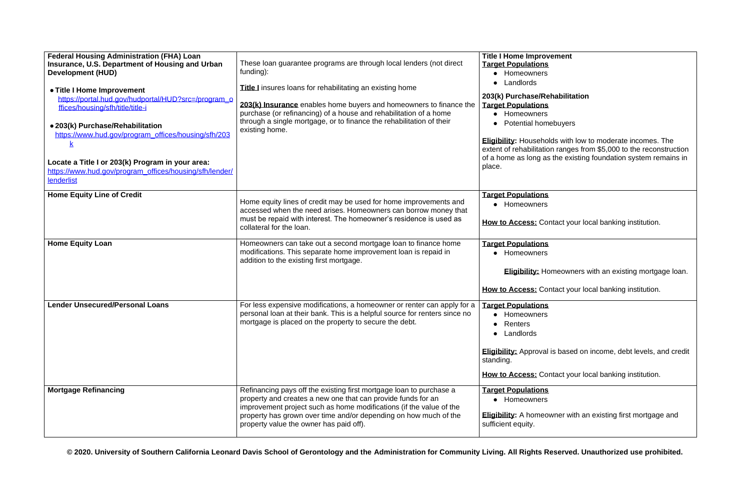#### *<u>I</u>* ement

#### **habilitation**

ebuyers

Ids with low to moderate incomes. The on ranges from \$5,000 to the reconstruction the existing foundation system remains in

ntact your local banking institution.

Imeowners with an existing mortgage loan.

ntact your local banking institution.

is based on income, debt levels, and credit

ntact your local banking institution.

wner with an existing first mortgage and

| <b>Federal Housing Administration (FHA) Loan</b><br>Insurance, U.S. Department of Housing and Urban<br><b>Development (HUD)</b><br>• Title I Home Improvement<br>https://portal.hud.gov/hudportal/HUD?src=/program_o<br>ffices/housing/sfh/title/title-i<br>• 203(k) Purchase/Rehabilitation<br>https://www.hud.gov/program_offices/housing/sfh/203<br>K<br>Locate a Title I or 203(k) Program in your area: | These loan guarantee programs are through local lenders (not direct<br>funding):<br><b>Title I</b> insures loans for rehabilitating an existing home<br>203(k) Insurance enables home buyers and homeowners to finance the<br>purchase (or refinancing) of a house and rehabilitation of a home<br>through a single mortgage, or to finance the rehabilitation of their<br>existing home. | Title I Home Improv<br><b>Target Populations</b><br>Homeowners<br>Landlords<br>203(k) Purchase/Rel<br><b>Target Populations</b><br>Homeowners<br>$\bullet$<br>Potential home<br>Eligibility: Househol<br>extent of rehabilitation<br>of a home as long as |
|--------------------------------------------------------------------------------------------------------------------------------------------------------------------------------------------------------------------------------------------------------------------------------------------------------------------------------------------------------------------------------------------------------------|-------------------------------------------------------------------------------------------------------------------------------------------------------------------------------------------------------------------------------------------------------------------------------------------------------------------------------------------------------------------------------------------|-----------------------------------------------------------------------------------------------------------------------------------------------------------------------------------------------------------------------------------------------------------|
| https://www.hud.gov/program_offices/housing/sfh/lender/<br>lenderlist                                                                                                                                                                                                                                                                                                                                        |                                                                                                                                                                                                                                                                                                                                                                                           | place.                                                                                                                                                                                                                                                    |
| <b>Home Equity Line of Credit</b>                                                                                                                                                                                                                                                                                                                                                                            | Home equity lines of credit may be used for home improvements and<br>accessed when the need arises. Homeowners can borrow money that<br>must be repaid with interest. The homeowner's residence is used as<br>collateral for the loan.                                                                                                                                                    | <b>Target Populations</b><br>Homeowners<br><b>How to Access: Cor</b>                                                                                                                                                                                      |
| <b>Home Equity Loan</b>                                                                                                                                                                                                                                                                                                                                                                                      | Homeowners can take out a second mortgage loan to finance home<br>modifications. This separate home improvement loan is repaid in<br>addition to the existing first mortgage.                                                                                                                                                                                                             | <b>Target Populations</b><br>Homeowners<br>Eligibility: Ho<br><b>How to Access: Cor</b>                                                                                                                                                                   |
| <b>Lender Unsecured/Personal Loans</b>                                                                                                                                                                                                                                                                                                                                                                       | For less expensive modifications, a homeowner or renter can apply for a<br>personal loan at their bank. This is a helpful source for renters since no<br>mortgage is placed on the property to secure the debt.                                                                                                                                                                           | <b>Target Populations</b><br>Homeowners<br>Renters<br>Landlords<br>$\bullet$<br><b>Eligibility: Approval</b><br>standing.<br><b>How to Access: Cor</b>                                                                                                    |
| <b>Mortgage Refinancing</b>                                                                                                                                                                                                                                                                                                                                                                                  | Refinancing pays off the existing first mortgage loan to purchase a<br>property and creates a new one that can provide funds for an<br>improvement project such as home modifications (if the value of the<br>property has grown over time and/or depending on how much of the<br>property value the owner has paid off).                                                                 | <b>Target Populations</b><br>Homeowners<br>Eligibility: A homeov<br>sufficient equity.                                                                                                                                                                    |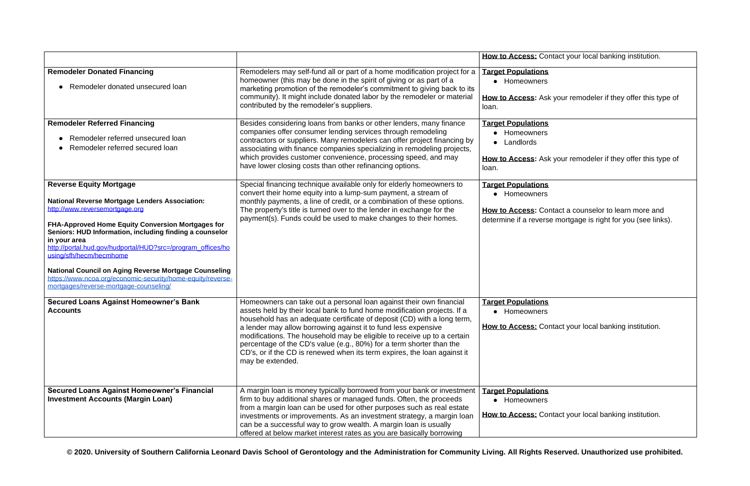| How to Access: Contact your local banking institution.                                                                                                    |
|-----------------------------------------------------------------------------------------------------------------------------------------------------------|
| <b>Target Populations</b>                                                                                                                                 |
| Homeowners                                                                                                                                                |
| <b>How to Access:</b> Ask your remodeler if they offer this type of<br>loan.                                                                              |
| <b>Target Populations</b>                                                                                                                                 |
| Homeowners                                                                                                                                                |
| Landlords                                                                                                                                                 |
| <b>How to Access:</b> Ask your remodeler if they offer this type of<br>loan.                                                                              |
| <b>Target Populations</b>                                                                                                                                 |
| Homeowners                                                                                                                                                |
| <b>How to Access:</b> Contact a counselor to learn more and<br>determine if a reverse mortgage is right for you (see links).<br><b>Target Populations</b> |
| Homeowners                                                                                                                                                |
| How to Access: Contact your local banking institution.                                                                                                    |
| <b>Target Populations</b><br>Homeowners                                                                                                                   |
| How to Access: Contact your local banking institution.                                                                                                    |

|                                                                                                                                                                                                                                                                                                                                                                                                                                                                                                                              |                                                                                                                                                                                                                                                                                                                                                                                                                                                                                                                                                 | How to Access: Cor                                                                              |
|------------------------------------------------------------------------------------------------------------------------------------------------------------------------------------------------------------------------------------------------------------------------------------------------------------------------------------------------------------------------------------------------------------------------------------------------------------------------------------------------------------------------------|-------------------------------------------------------------------------------------------------------------------------------------------------------------------------------------------------------------------------------------------------------------------------------------------------------------------------------------------------------------------------------------------------------------------------------------------------------------------------------------------------------------------------------------------------|-------------------------------------------------------------------------------------------------|
| <b>Remodeler Donated Financing</b><br>Remodeler donated unsecured loan                                                                                                                                                                                                                                                                                                                                                                                                                                                       | Remodelers may self-fund all or part of a home modification project for a<br>homeowner (this may be done in the spirit of giving or as part of a<br>marketing promotion of the remodeler's commitment to giving back to its<br>community). It might include donated labor by the remodeler or material<br>contributed by the remodeler's suppliers.                                                                                                                                                                                             | <b>Target Populations</b><br>• Homeowners<br><b>How to Access: Ask</b><br>loan.                 |
| <b>Remodeler Referred Financing</b><br>Remodeler referred unsecured loan<br>Remodeler referred secured loan                                                                                                                                                                                                                                                                                                                                                                                                                  | Besides considering loans from banks or other lenders, many finance<br>companies offer consumer lending services through remodeling<br>contractors or suppliers. Many remodelers can offer project financing by<br>associating with finance companies specializing in remodeling projects,<br>which provides customer convenience, processing speed, and may<br>have lower closing costs than other refinancing options.                                                                                                                        | <b>Target Populations</b><br>Homeowners<br>Landlords<br><b>How to Access: Ask</b><br>loan.      |
| <b>Reverse Equity Mortgage</b><br><b>National Reverse Mortgage Lenders Association:</b><br>http://www.reversemortgage.org<br>FHA-Approved Home Equity Conversion Mortgages for<br>Seniors: HUD Information, including finding a counselor<br>in your area<br>http://portal.hud.gov/hudportal/HUD?src=/program_offices/ho<br>using/sfh/hecm/hecmhome<br><b>National Council on Aging Reverse Mortgage Counseling</b><br>https://www.ncoa.org/economic-security/home-equity/reverse-<br>mortgages/reverse-mortgage-counseling/ | Special financing technique available only for elderly homeowners to<br>convert their home equity into a lump-sum payment, a stream of<br>monthly payments, a line of credit, or a combination of these options.<br>The property's title is turned over to the lender in exchange for the<br>payment(s). Funds could be used to make changes to their homes.                                                                                                                                                                                    | <b>Target Populations</b><br>• Homeowners<br><b>How to Access: Cor</b><br>determine if a revers |
| <b>Secured Loans Against Homeowner's Bank</b><br><b>Accounts</b>                                                                                                                                                                                                                                                                                                                                                                                                                                                             | Homeowners can take out a personal loan against their own financial<br>assets held by their local bank to fund home modification projects. If a<br>household has an adequate certificate of deposit (CD) with a long term,<br>a lender may allow borrowing against it to fund less expensive<br>modifications. The household may be eligible to receive up to a certain<br>percentage of the CD's value (e.g., 80%) for a term shorter than the<br>CD's, or if the CD is renewed when its term expires, the loan against it<br>may be extended. | <b>Target Populations</b><br>• Homeowners<br>How to Access: Cor                                 |
| <b>Secured Loans Against Homeowner's Financial</b><br><b>Investment Accounts (Margin Loan)</b>                                                                                                                                                                                                                                                                                                                                                                                                                               | A margin loan is money typically borrowed from your bank or investment<br>firm to buy additional shares or managed funds. Often, the proceeds<br>from a margin loan can be used for other purposes such as real estate<br>investments or improvements. As an investment strategy, a margin loan<br>can be a successful way to grow wealth. A margin loan is usually<br>offered at below market interest rates as you are basically borrowing                                                                                                    | <b>Target Populations</b><br>• Homeowners<br>How to Access: Cor                                 |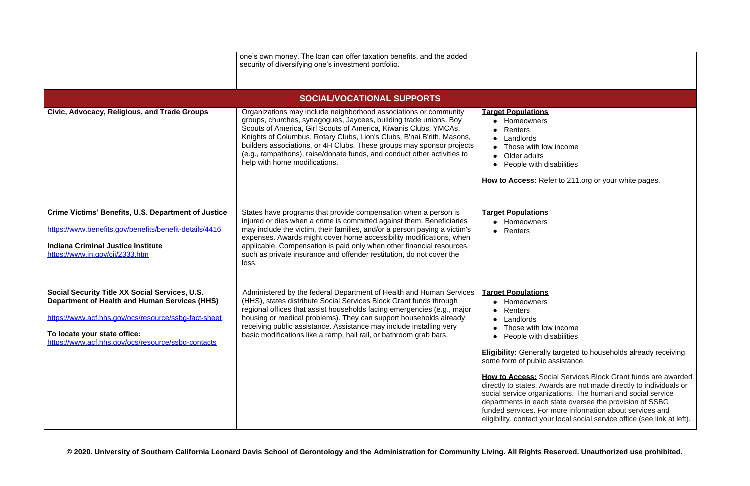w income

isabilities

fer to 211.org or your white pages.

w income isabilities

targeted to households already receiving assistance.

cial Services Block Grant funds are awarded vards are not made directly to individuals or izations. The human and social service state oversee the provision of SSBG more information about services and ur local social service office (see link at left).

<span id="page-7-0"></span>

|                                                                                                                                                                                                                                                      | one's own money. The loan can offer taxation benefits, and the added<br>security of diversifying one's investment portfolio.                                                                                                                                                                                                                                                                                                                                             |                                                                                                                                                                                                                                                                                                                    |
|------------------------------------------------------------------------------------------------------------------------------------------------------------------------------------------------------------------------------------------------------|--------------------------------------------------------------------------------------------------------------------------------------------------------------------------------------------------------------------------------------------------------------------------------------------------------------------------------------------------------------------------------------------------------------------------------------------------------------------------|--------------------------------------------------------------------------------------------------------------------------------------------------------------------------------------------------------------------------------------------------------------------------------------------------------------------|
|                                                                                                                                                                                                                                                      | <b>SOCIAL/VOCATIONAL SUPPORTS</b>                                                                                                                                                                                                                                                                                                                                                                                                                                        |                                                                                                                                                                                                                                                                                                                    |
| Civic, Advocacy, Religious, and Trade Groups                                                                                                                                                                                                         | Organizations may include neighborhood associations or community<br>groups, churches, synagogues, Jaycees, building trade unions, Boy<br>Scouts of America, Girl Scouts of America, Kiwanis Clubs, YMCAs,<br>Knights of Columbus, Rotary Clubs, Lion's Clubs, B'nai B'rith, Masons,<br>builders associations, or 4H Clubs. These groups may sponsor projects<br>(e.g., rampathons), raise/donate funds, and conduct other activities to<br>help with home modifications. | <b>Target Populations</b><br>• Homeowners<br><b>Renters</b><br>Landlords<br>Those with lov<br>Older adults<br>People with di                                                                                                                                                                                       |
|                                                                                                                                                                                                                                                      |                                                                                                                                                                                                                                                                                                                                                                                                                                                                          | <b>How to Access: Ref</b>                                                                                                                                                                                                                                                                                          |
| <b>Crime Victims' Benefits, U.S. Department of Justice</b><br>https://www.benefits.gov/benefits/benefit-details/4416<br><b>Indiana Criminal Justice Institute</b><br>https://www.in.gov/cji/2333.htm                                                 | States have programs that provide compensation when a person is<br>injured or dies when a crime is committed against them. Beneficiaries<br>may include the victim, their families, and/or a person paying a victim's<br>expenses. Awards might cover home accessibility modifications, when<br>applicable. Compensation is paid only when other financial resources,<br>such as private insurance and offender restitution, do not cover the<br>loss.                   | <b>Target Populations</b><br>Homeowners<br>Renters<br>$\bullet$                                                                                                                                                                                                                                                    |
| Social Security Title XX Social Services, U.S.<br><b>Department of Health and Human Services (HHS)</b><br>https://www.acf.hhs.gov/ocs/resource/ssbg-fact-sheet<br>To locate your state office:<br>https://www.acf.hhs.gov/ocs/resource/ssbg-contacts | Administered by the federal Department of Health and Human Services<br>(HHS), states distribute Social Services Block Grant funds through<br>regional offices that assist households facing emergencies (e.g., major<br>housing or medical problems). They can support households already<br>receiving public assistance. Assistance may include installing very<br>basic modifications like a ramp, hall rail, or bathroom grab bars.                                   | <b>Target Populations</b><br>Homeowners<br>Renters<br>Landlords<br>Those with lov<br>People with di<br><b>Eligibility: Generally</b><br>some form of public a<br>How to Access: Soo<br>directly to states. Aw<br>social service organi:<br>departments in each<br>funded services. For<br>eligibility, contact you |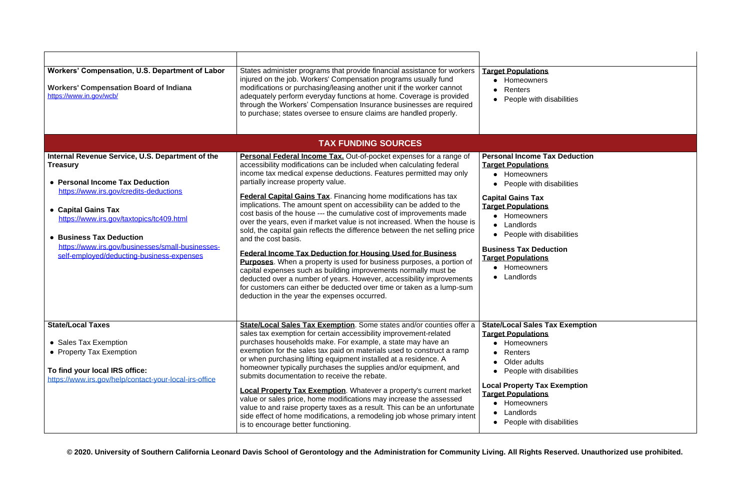## lisabilities

**Rax Deduction** 

isabilities

isabilities

*<u>Iction</u>* 

# **Fax Exemption**

isabilities

**Local Exemption** 

isabilities

<span id="page-8-0"></span>

| Workers' Compensation, U.S. Department of Labor<br><b>Workers' Compensation Board of Indiana</b><br>https://www.in.gov/wcb/                                                                                                                                                                                                                      | States administer programs that provide financial assistance for workers<br>injured on the job. Workers' Compensation programs usually fund<br>modifications or purchasing/leasing another unit if the worker cannot<br>adequately perform everyday functions at home. Coverage is provided<br>through the Workers' Compensation Insurance businesses are required<br>to purchase; states oversee to ensure claims are handled properly.                                                                                                                                                                                                                                                                                                                                                                                                                                                                                                                                                                                                                                              | <b>Target Populations</b><br>Homeowners<br>Renters<br>$\bullet$<br>People with dis<br>$\bullet$                                                                                                                                                                                                   |
|--------------------------------------------------------------------------------------------------------------------------------------------------------------------------------------------------------------------------------------------------------------------------------------------------------------------------------------------------|---------------------------------------------------------------------------------------------------------------------------------------------------------------------------------------------------------------------------------------------------------------------------------------------------------------------------------------------------------------------------------------------------------------------------------------------------------------------------------------------------------------------------------------------------------------------------------------------------------------------------------------------------------------------------------------------------------------------------------------------------------------------------------------------------------------------------------------------------------------------------------------------------------------------------------------------------------------------------------------------------------------------------------------------------------------------------------------|---------------------------------------------------------------------------------------------------------------------------------------------------------------------------------------------------------------------------------------------------------------------------------------------------|
|                                                                                                                                                                                                                                                                                                                                                  | <b>TAX FUNDING SOURCES</b>                                                                                                                                                                                                                                                                                                                                                                                                                                                                                                                                                                                                                                                                                                                                                                                                                                                                                                                                                                                                                                                            |                                                                                                                                                                                                                                                                                                   |
| Internal Revenue Service, U.S. Department of the<br><b>Treasury</b><br>• Personal Income Tax Deduction<br>https://www.irs.gov/credits-deductions<br>• Capital Gains Tax<br>https://www.irs.gov/taxtopics/tc409.html<br>• Business Tax Deduction<br>https://www.irs.gov/businesses/small-businesses-<br>self-employed/deducting-business-expenses | Personal Federal Income Tax. Out-of-pocket expenses for a range of<br>accessibility modifications can be included when calculating federal<br>income tax medical expense deductions. Features permitted may only<br>partially increase property value.<br>Federal Capital Gains Tax. Financing home modifications has tax<br>implications. The amount spent on accessibility can be added to the<br>cost basis of the house --- the cumulative cost of improvements made<br>over the years, even if market value is not increased. When the house is<br>sold, the capital gain reflects the difference between the net selling price<br>and the cost basis.<br><b>Federal Income Tax Deduction for Housing Used for Business</b><br><b>Purposes</b> . When a property is used for business purposes, a portion of<br>capital expenses such as building improvements normally must be<br>deducted over a number of years. However, accessibility improvements<br>for customers can either be deducted over time or taken as a lump-sum<br>deduction in the year the expenses occurred. | <b>Personal Income Ta</b><br><b>Target Populations</b><br>• Homeowners<br>People with dis<br><b>Capital Gains Tax</b><br><b>Target Populations</b><br>Homeowners<br>Landlords<br>$\bullet$<br>People with dis<br><b>Business Tax Dedu</b><br><b>Target Populations</b><br>Homeowners<br>Landlords |
| <b>State/Local Taxes</b><br>• Sales Tax Exemption<br>• Property Tax Exemption<br>To find your local IRS office:<br>https://www.irs.gov/help/contact-your-local-irs-office                                                                                                                                                                        | State/Local Sales Tax Exemption. Some states and/or counties offer a   State/Local Sales Ta<br>sales tax exemption for certain accessibility improvement-related<br>purchases households make. For example, a state may have an<br>exemption for the sales tax paid on materials used to construct a ramp<br>or when purchasing lifting equipment installed at a residence. A<br>homeowner typically purchases the supplies and/or equipment, and<br>submits documentation to receive the rebate.<br><b>Local Property Tax Exemption.</b> Whatever a property's current market<br>value or sales price, home modifications may increase the assessed<br>value to and raise property taxes as a result. This can be an unfortunate<br>side effect of home modifications, a remodeling job whose primary intent<br>is to encourage better functioning.                                                                                                                                                                                                                                  | <b>Target Populations</b><br>Homeowners<br>Renters<br>Older adults<br>People with dis<br><b>Local Property Tax</b><br><b>Target Populations</b><br>Homeowners<br>Landlords<br>People with dis                                                                                                     |